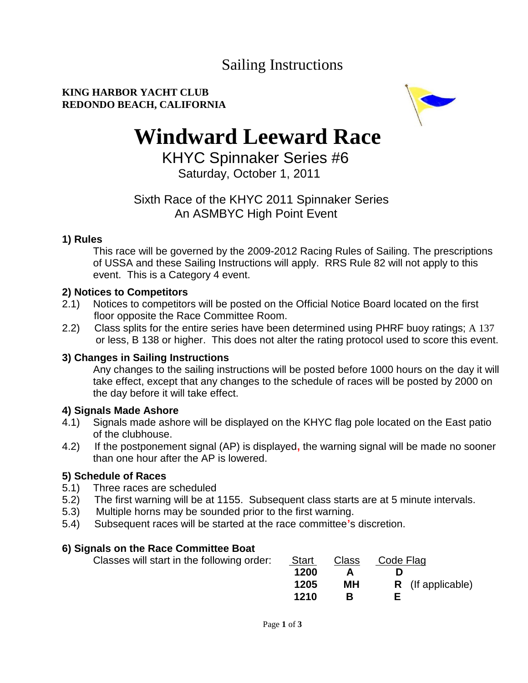# Sailing Instructions

#### **KING HARBOR YACHT CLUB REDONDO BEACH, CALIFORNIA**



# **Windward Leeward Race**

 KHYC Spinnaker Series #6 Saturday, October 1, 2011

# Sixth Race of the KHYC 2011 Spinnaker Series An ASMBYC High Point Event

#### **1) Rules**

This race will be governed by the 2009-2012 Racing Rules of Sailing. The prescriptions of USSA and these Sailing Instructions will apply. RRS Rule 82 will not apply to this event. This is a Category 4 event.

### **2) Notices to Competitors**

- 2.1) Notices to competitors will be posted on the Official Notice Board located on the first floor opposite the Race Committee Room.
- 2.2) Class splits for the entire series have been determined using PHRF buoy ratings; A 137 or less, B 138 or higher. This does not alter the rating protocol used to score this event.

### **3) Changes in Sailing Instructions**

Any changes to the sailing instructions will be posted before 1000 hours on the day it will take effect, except that any changes to the schedule of races will be posted by 2000 on the day before it will take effect.

### **4) Signals Made Ashore**

- 4.1) Signals made ashore will be displayed on the KHYC flag pole located on the East patio of the clubhouse.
- 4.2) If the postponement signal (AP) is displayed**,** the warning signal will be made no sooner than one hour after the AP is lowered.

### **5) Schedule of Races**

- 5.1) Three races are scheduled
- 5.2) The first warning will be at 1155. Subsequent class starts are at 5 minute intervals.
- 5.3) Multiple horns may be sounded prior to the first warning.
- 5.4) Subsequent races will be started at the race committee**'**s discretion.

### **6) Signals on the Race Committee Boat**

| Classes will start in the following order: | <b>Start</b> | Class | Code Flag                |
|--------------------------------------------|--------------|-------|--------------------------|
|                                            | 1200         |       |                          |
|                                            | 1205         | МH    | <b>R</b> (If applicable) |
|                                            | 1210         |       |                          |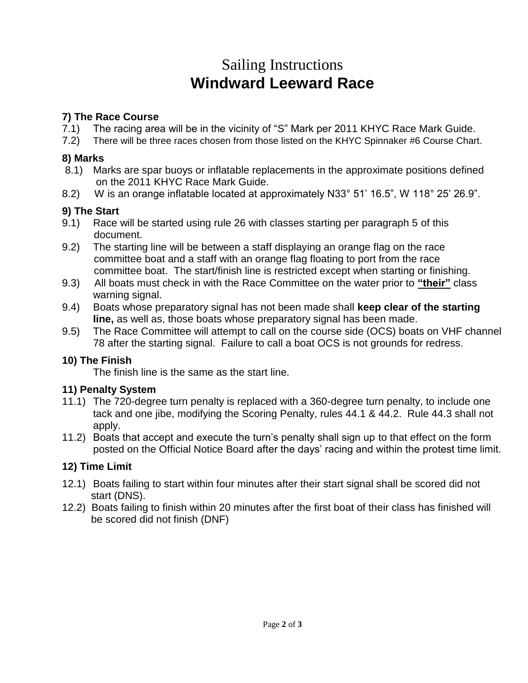# Sailing Instructions **Windward Leeward Race**

### **7) The Race Course**

- 7.1) The racing area will be in the vicinity of "S" Mark per 2011 KHYC Race Mark Guide.
- 7.2) There will be three races chosen from those listed on the KHYC Spinnaker #6 Course Chart.

#### **8) Marks**

- 8.1) Marks are spar buoys or inflatable replacements in the approximate positions defined on the 2011 KHYC Race Mark Guide.
- 8.2) W is an orange inflatable located at approximately N33° 51' 16.5", W 118° 25' 26.9".

## **9) The Start**

- 9.1) Race will be started using rule 26 with classes starting per paragraph 5 of this document.
- 9.2) The starting line will be between a staff displaying an orange flag on the race committee boat and a staff with an orange flag floating to port from the race committee boat. The start/finish line is restricted except when starting or finishing.
- 9.3) All boats must check in with the Race Committee on the water prior to **"their"** class warning signal.
- 9.4) Boats whose preparatory signal has not been made shall **keep clear of the starting line,** as well as, those boats whose preparatory signal has been made.
- 9.5) The Race Committee will attempt to call on the course side (OCS) boats on VHF channel 78 after the starting signal. Failure to call a boat OCS is not grounds for redress.

### **10) The Finish**

The finish line is the same as the start line.

### **11) Penalty System**

- 11.1) The 720-degree turn penalty is replaced with a 360-degree turn penalty, to include one tack and one jibe, modifying the Scoring Penalty, rules 44.1 & 44.2. Rule 44.3 shall not apply.
- 11.2) Boats that accept and execute the turn's penalty shall sign up to that effect on the form posted on the Official Notice Board after the days' racing and within the protest time limit.

# **12) Time Limit**

- 12.1) Boats failing to start within four minutes after their start signal shall be scored did not start (DNS).
- 12.2) Boats failing to finish within 20 minutes after the first boat of their class has finished will be scored did not finish (DNF)